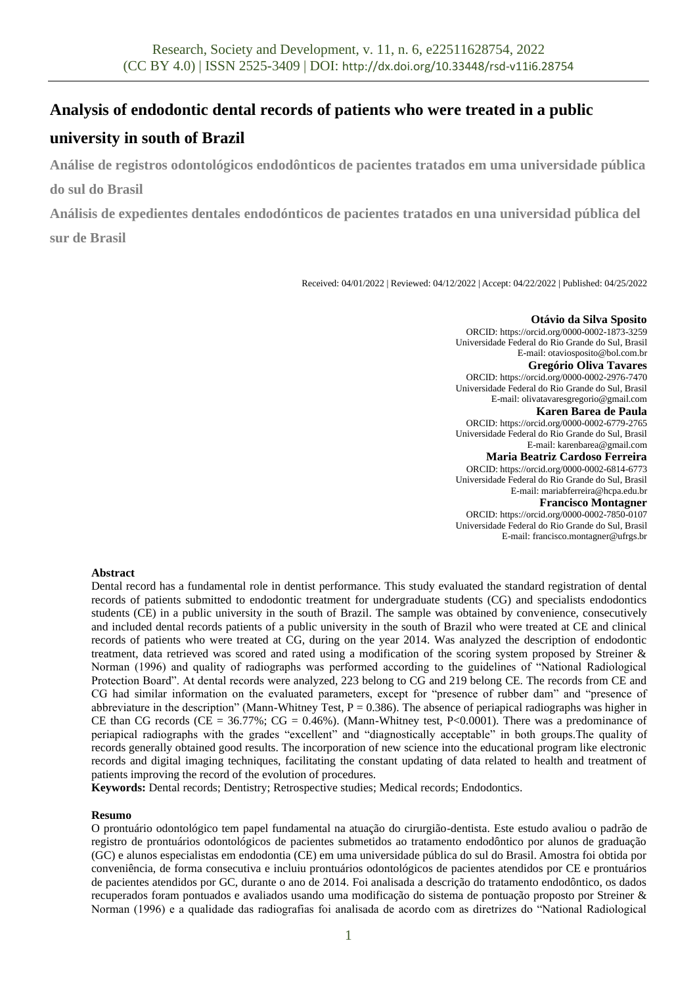# **Analysis of endodontic dental records of patients who were treated in a public**

# **university in south of Brazil**

**Análise de registros odontológicos endodônticos de pacientes tratados em uma universidade pública do sul do Brasil**

**Análisis de expedientes dentales endodónticos de pacientes tratados en una universidad pública del sur de Brasil**

Received: 04/01/2022 | Reviewed: 04/12/2022 | Accept: 04/22/2022 | Published: 04/25/2022

**Otávio da Silva Sposito** ORCID[: https://orcid.org/0000-0002-1873-3259](https://orcid.org/0000-0002-1873-3259) Universidade Federal do Rio Grande do Sul, Brasil E-mail[: otaviosposito@bol.com.br](mailto:otaviosposito@bol.com.br) **Gregório Oliva Tavares**

ORCID[: https://orcid.org/0000-0002-2976-7470](https://orcid.org/0000-0002-2976-7470) Universidade Federal do Rio Grande do Sul, Brasil E-mail[: olivatavaresgregorio@gmail.com](mailto:olivatavaresgregorio@gmail.com) **Karen Barea de Paula**

ORCID: <https://orcid.org/0000-0002-6779-2765> Universidade Federal do Rio Grande do Sul, Brasil E-mail[: karenbarea@gmail.com](mailto:karenbarea@gmail.com)

**Maria Beatriz Cardoso Ferreira**

ORCID: <https://orcid.org/0000-0002-6814-6773> Universidade Federal do Rio Grande do Sul, Brasil E-mail[: mariabferreira@hcpa.edu.br](mailto:mariabferreira@hcpa.edu.br)

**Francisco Montagner**

ORCID: <https://orcid.org/0000-0002-7850-0107> Universidade Federal do Rio Grande do Sul, Brasil E-mail[: francisco.montagner@ufrgs.br](mailto:francisco.montagner@ufrgs.br)

# **Abstract**

Dental record has a fundamental role in dentist performance. This study evaluated the standard registration of dental records of patients submitted to endodontic treatment for undergraduate students (CG) and specialists endodontics students (CE) in a public university in the south of Brazil. The sample was obtained by convenience, consecutively and included dental records patients of a public university in the south of Brazil who were treated at CE and clinical records of patients who were treated at CG, during on the year 2014. Was analyzed the description of endodontic treatment, data retrieved was scored and rated using a modification of the scoring system proposed by Streiner & Norman (1996) and quality of radiographs was performed according to the guidelines of "National Radiological Protection Board". At dental records were analyzed, 223 belong to CG and 219 belong CE. The records from CE and CG had similar information on the evaluated parameters, except for "presence of rubber dam" and "presence of abbreviature in the description" (Mann-Whitney Test,  $P = 0.386$ ). The absence of periapical radiographs was higher in CE than CG records (CE =  $36.77\%$ ; CG =  $0.46\%$ ). (Mann-Whitney test, P<0.0001). There was a predominance of periapical radiographs with the grades "excellent" and "diagnostically acceptable" in both groups.The quality of records generally obtained good results. The incorporation of new science into the educational program like electronic records and digital imaging techniques, facilitating the constant updating of data related to health and treatment of patients improving the record of the evolution of procedures.

**Keywords:** Dental records; Dentistry; Retrospective studies; Medical records; Endodontics.

### **Resumo**

O prontuário odontológico tem papel fundamental na atuação do cirurgião-dentista. Este estudo avaliou o padrão de registro de prontuários odontológicos de pacientes submetidos ao tratamento endodôntico por alunos de graduação (GC) e alunos especialistas em endodontia (CE) em uma universidade pública do sul do Brasil. Amostra foi obtida por conveniência, de forma consecutiva e incluiu prontuários odontológicos de pacientes atendidos por CE e prontuários de pacientes atendidos por GC, durante o ano de 2014. Foi analisada a descrição do tratamento endodôntico, os dados recuperados foram pontuados e avaliados usando uma modificação do sistema de pontuação proposto por Streiner & Norman (1996) e a qualidade das radiografias foi analisada de acordo com as diretrizes do "National Radiological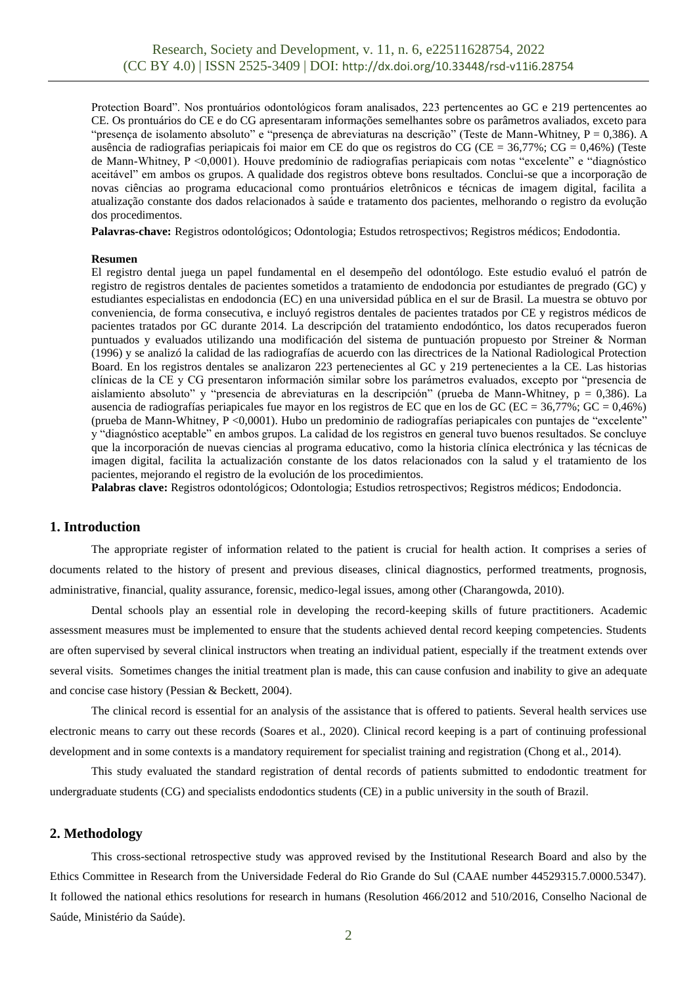Protection Board". Nos prontuários odontológicos foram analisados, 223 pertencentes ao GC e 219 pertencentes ao CE. Os prontuários do CE e do CG apresentaram informações semelhantes sobre os parâmetros avaliados, exceto para "presença de isolamento absoluto" e "presença de abreviaturas na descrição" (Teste de Mann-Whitney, P = 0,386). A ausência de radiografias periapicais foi maior em CE do que os registros do CG (CE = 36,77%; CG = 0,46%) (Teste de Mann-Whitney, P <0,0001). Houve predomínio de radiografias periapicais com notas "excelente" e "diagnóstico aceitável" em ambos os grupos. A qualidade dos registros obteve bons resultados. Conclui-se que a incorporação de novas ciências ao programa educacional como prontuários eletrônicos e técnicas de imagem digital, facilita a atualização constante dos dados relacionados à saúde e tratamento dos pacientes, melhorando o registro da evolução dos procedimentos.

**Palavras-chave:** Registros odontológicos; Odontologia; Estudos retrospectivos; Registros médicos; Endodontia.

#### **Resumen**

El registro dental juega un papel fundamental en el desempeño del odontólogo. Este estudio evaluó el patrón de registro de registros dentales de pacientes sometidos a tratamiento de endodoncia por estudiantes de pregrado (GC) y estudiantes especialistas en endodoncia (EC) en una universidad pública en el sur de Brasil. La muestra se obtuvo por conveniencia, de forma consecutiva, e incluyó registros dentales de pacientes tratados por CE y registros médicos de pacientes tratados por GC durante 2014. La descripción del tratamiento endodóntico, los datos recuperados fueron puntuados y evaluados utilizando una modificación del sistema de puntuación propuesto por Streiner & Norman (1996) y se analizó la calidad de las radiografías de acuerdo con las directrices de la National Radiological Protection Board. En los registros dentales se analizaron 223 pertenecientes al GC y 219 pertenecientes a la CE. Las historias clínicas de la CE y CG presentaron información similar sobre los parámetros evaluados, excepto por "presencia de aislamiento absoluto" y "presencia de abreviaturas en la descripción" (prueba de Mann-Whitney, p = 0,386). La ausencia de radiografías periapicales fue mayor en los registros de EC que en los de GC (EC = 36,77%; GC = 0,46%) (prueba de Mann-Whitney, P <0,0001). Hubo un predominio de radiografías periapicales con puntajes de "excelente" y "diagnóstico aceptable" en ambos grupos. La calidad de los registros en general tuvo buenos resultados. Se concluye que la incorporación de nuevas ciencias al programa educativo, como la historia clínica electrónica y las técnicas de imagen digital, facilita la actualización constante de los datos relacionados con la salud y el tratamiento de los pacientes, mejorando el registro de la evolución de los procedimientos.

**Palabras clave:** Registros odontológicos; Odontologia; Estudios retrospectivos; Registros médicos; Endodoncia.

#### **1. Introduction**

The appropriate register of information related to the patient is crucial for health action. It comprises a series of documents related to the history of present and previous diseases, clinical diagnostics, performed treatments, prognosis, administrative, financial, quality assurance, forensic, medico-legal issues, among other (Charangowda, 2010).

Dental schools play an essential role in developing the record-keeping skills of future practitioners. Academic assessment measures must be implemented to ensure that the students achieved dental record keeping competencies. Students are often supervised by several clinical instructors when treating an individual patient, especially if the treatment extends over several visits. Sometimes changes the initial treatment plan is made, this can cause confusion and inability to give an adequate and concise case history (Pessian & Beckett, 2004).

The clinical record is essential for an analysis of the assistance that is offered to patients. Several health services use electronic means to carry out these records (Soares et al., 2020). Clinical record keeping is a part of continuing professional development and in some contexts is a mandatory requirement for specialist training and registration (Chong et al., 2014).

This study evaluated the standard registration of dental records of patients submitted to endodontic treatment for undergraduate students (CG) and specialists endodontics students (CE) in a public university in the south of Brazil.

#### **2. Methodology**

This cross-sectional retrospective study was approved revised by the Institutional Research Board and also by the Ethics Committee in Research from the Universidade Federal do Rio Grande do Sul (CAAE number 44529315.7.0000.5347). It followed the national ethics resolutions for research in humans (Resolution 466/2012 and 510/2016, Conselho Nacional de Saúde, Ministério da Saúde).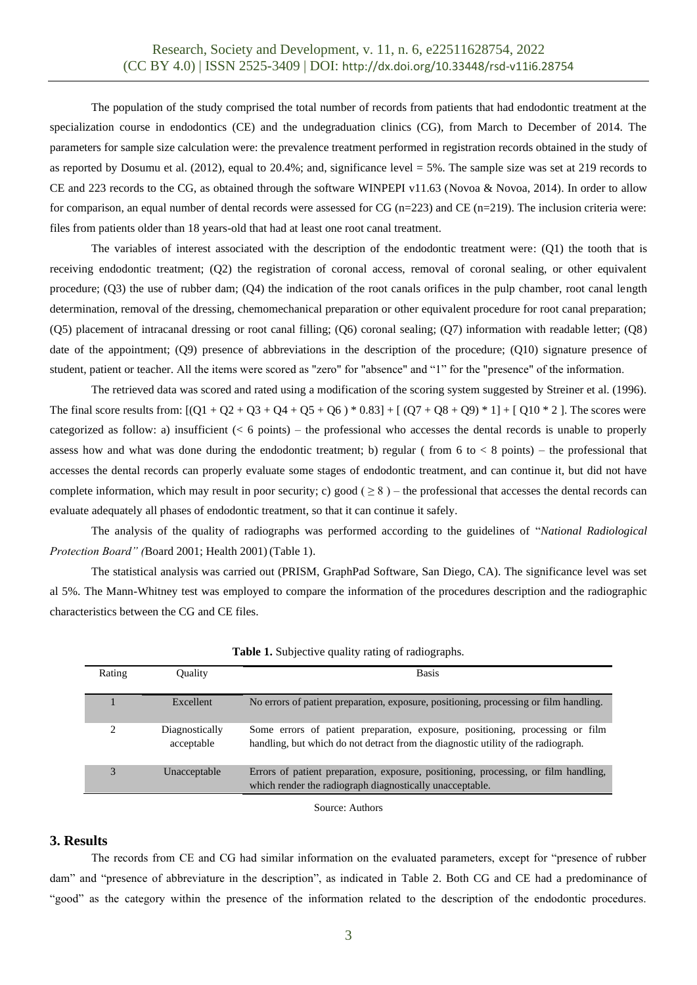The population of the study comprised the total number of records from patients that had endodontic treatment at the specialization course in endodontics (CE) and the undegraduation clinics (CG), from March to December of 2014. The parameters for sample size calculation were: the prevalence treatment performed in registration records obtained in the study of as reported by Dosumu et al. (2012), equal to 20.4%; and, significance level = 5%. The sample size was set at 219 records to CE and 223 records to the CG, as obtained through the software WINPEPI v11.63 (Novoa & Novoa, 2014). In order to allow for comparison, an equal number of dental records were assessed for CG (n=223) and CE (n=219). The inclusion criteria were: files from patients older than 18 years-old that had at least one root canal treatment.

The variables of interest associated with the description of the endodontic treatment were: (Q1) the tooth that is receiving endodontic treatment; (Q2) the registration of coronal access, removal of coronal sealing, or other equivalent procedure; (Q3) the use of rubber dam; (Q4) the indication of the root canals orifices in the pulp chamber, root canal length determination, removal of the dressing, chemomechanical preparation or other equivalent procedure for root canal preparation; (Q5) placement of intracanal dressing or root canal filling; (Q6) coronal sealing; (Q7) information with readable letter; (Q8) date of the appointment; (Q9) presence of abbreviations in the description of the procedure; (Q10) signature presence of student, patient or teacher. All the items were scored as "zero" for "absence" and "1" for the "presence" of the information.

The retrieved data was scored and rated using a modification of the scoring system suggested by Streiner et al. (1996). The final score results from:  $[(Q1 + Q2 + Q3 + Q4 + Q5 + Q6) * 0.83] + [(Q7 + Q8 + Q9) * 1] + [Q10 * 2]$ . The scores were categorized as follow: a) insufficient  $(< 6$  points) – the professional who accesses the dental records is unable to properly assess how and what was done during the endodontic treatment; b) regular (from 6 to  $\lt$  8 points) – the professional that accesses the dental records can properly evaluate some stages of endodontic treatment, and can continue it, but did not have complete information, which may result in poor security; c) good ( $\geq 8$ ) – the professional that accesses the dental records can evaluate adequately all phases of endodontic treatment, so that it can continue it safely.

The analysis of the quality of radiographs was performed according to the guidelines of "*National Radiological Protection Board" (*Board 2001; Health 2001) (Table 1).

The statistical analysis was carried out (PRISM, GraphPad Software, San Diego, CA). The significance level was set al 5%. The Mann-Whitney test was employed to compare the information of the procedures description and the radiographic characteristics between the CG and CE files.

| Rating | <b>Ouality</b>               | <b>Basis</b>                                                                                                                                                       |
|--------|------------------------------|--------------------------------------------------------------------------------------------------------------------------------------------------------------------|
|        | Excellent                    | No errors of patient preparation, exposure, positioning, processing or film handling.                                                                              |
|        | Diagnostically<br>acceptable | Some errors of patient preparation, exposure, positioning, processing or film<br>handling, but which do not detract from the diagnostic utility of the radiograph. |
|        | Unacceptable                 | Errors of patient preparation, exposure, positioning, processing, or film handling,<br>which render the radiograph diagnostically unacceptable.                    |

**Table 1.** Subjective quality rating of radiographs.

Source: Authors

### **3. Results**

The records from CE and CG had similar information on the evaluated parameters, except for "presence of rubber dam" and "presence of abbreviature in the description", as indicated in Table 2. Both CG and CE had a predominance of "good" as the category within the presence of the information related to the description of the endodontic procedures.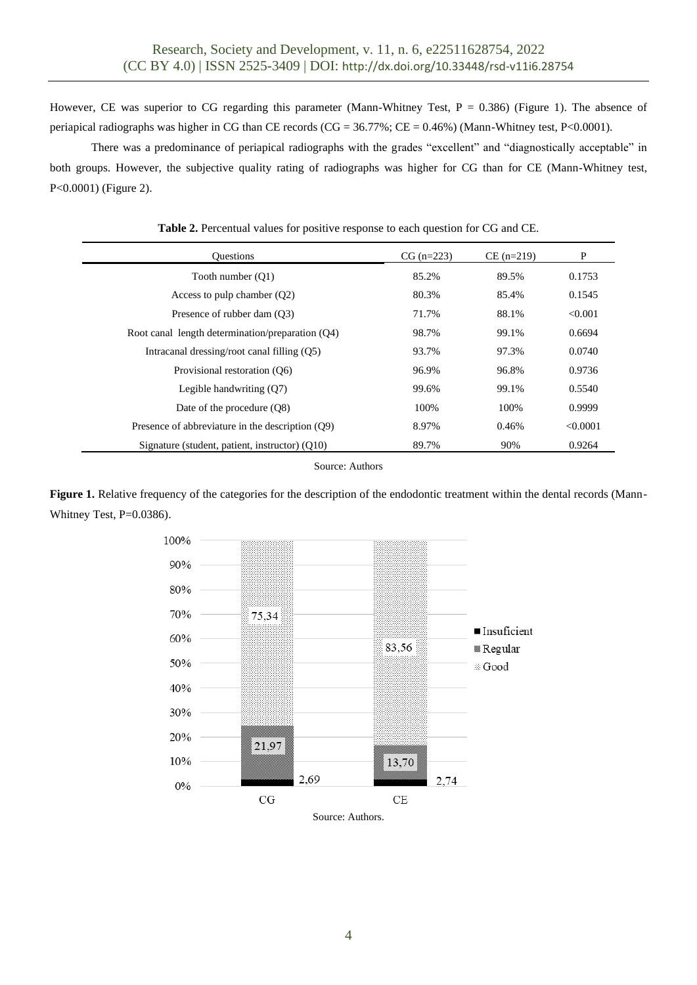However, CE was superior to CG regarding this parameter (Mann-Whitney Test,  $P = 0.386$ ) (Figure 1). The absence of periapical radiographs was higher in CG than CE records (CG = 36.77%; CE = 0.46%) (Mann-Whitney test, P<0.0001).

There was a predominance of periapical radiographs with the grades "excellent" and "diagnostically acceptable" in both groups. However, the subjective quality rating of radiographs was higher for CG than for CE (Mann-Whitney test, P<0.0001) (Figure 2).

| <b>Ouestions</b>                                   | $CG (n=223)$ | $CE (n=219)$ | P        |
|----------------------------------------------------|--------------|--------------|----------|
| Tooth number (O1)                                  | 85.2%        | 89.5%        | 0.1753   |
| Access to pulp chamber $(Q2)$                      | 80.3%        | 85.4%        | 0.1545   |
| Presence of rubber dam (O3)                        | 71.7%        | 88.1%        | < 0.001  |
| Root canal length determination/preparation $(Q4)$ | 98.7%        | 99.1%        | 0.6694   |
| Intracanal dressing/root canal filling (Q5)        | 93.7%        | 97.3%        | 0.0740   |
| Provisional restoration (O6)                       | 96.9%        | 96.8%        | 0.9736   |
| Legible handwriting $(Q7)$                         | 99.6%        | 99.1%        | 0.5540   |
| Date of the procedure (O8)                         | 100%         | 100%         | 0.9999   |
| Presence of abbreviature in the description (O9)   | 8.97%        | 0.46%        | < 0.0001 |
| Signature (student, patient, instructor) (O10)     | 89.7%        | 90%          | 0.9264   |

**Table 2.** Percentual values for positive response to each question for CG and CE.

Source: Authors

Figure 1. Relative frequency of the categories for the description of the endodontic treatment within the dental records (Mann-Whitney Test, P=0.0386).

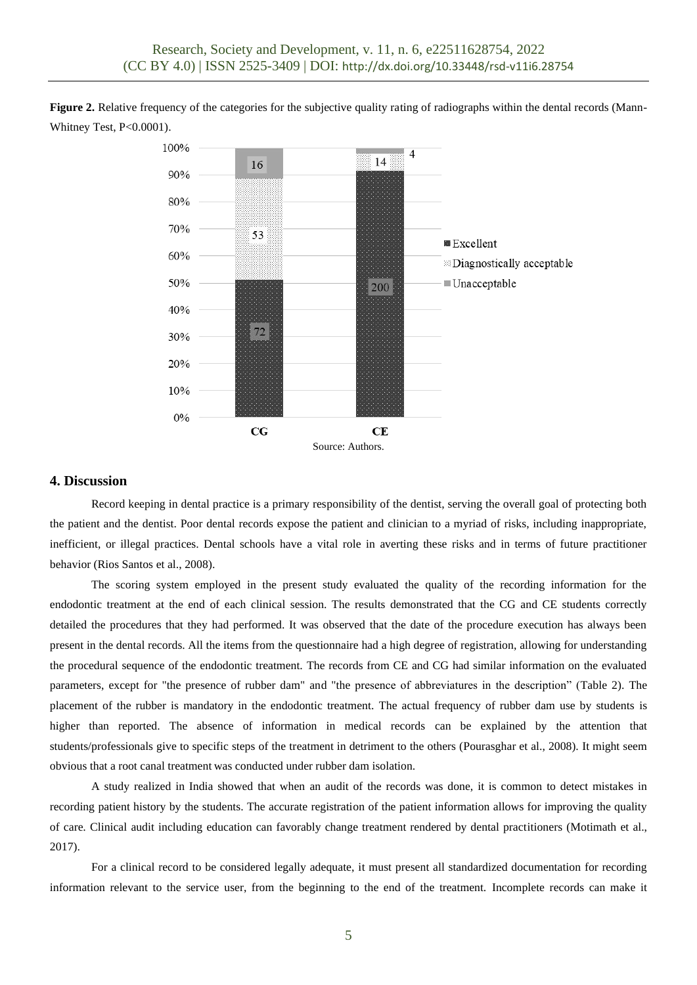**Figure 2.** Relative frequency of the categories for the subjective quality rating of radiographs within the dental records (Mann-Whitney Test, P<0.0001).



### **4. Discussion**

Record keeping in dental practice is a primary responsibility of the dentist, serving the overall goal of protecting both the patient and the dentist. Poor dental records expose the patient and clinician to a myriad of risks, including inappropriate, inefficient, or illegal practices. Dental schools have a vital role in averting these risks and in terms of future practitioner behavior (Rios Santos et al., 2008).

The scoring system employed in the present study evaluated the quality of the recording information for the endodontic treatment at the end of each clinical session. The results demonstrated that the CG and CE students correctly detailed the procedures that they had performed. It was observed that the date of the procedure execution has always been present in the dental records. All the items from the questionnaire had a high degree of registration, allowing for understanding the procedural sequence of the endodontic treatment. The records from CE and CG had similar information on the evaluated parameters, except for "the presence of rubber dam" and "the presence of abbreviatures in the description" (Table 2). The placement of the rubber is mandatory in the endodontic treatment. The actual frequency of rubber dam use by students is higher than reported. The absence of information in medical records can be explained by the attention that students/professionals give to specific steps of the treatment in detriment to the others (Pourasghar et al., 2008). It might seem obvious that a root canal treatment was conducted under rubber dam isolation.

A study realized in India showed that when an audit of the records was done, it is common to detect mistakes in recording patient history by the students. The accurate registration of the patient information allows for improving the quality of care. Clinical audit including education can favorably change treatment rendered by dental practitioners (Motimath et al., 2017).

For a clinical record to be considered legally adequate, it must present all standardized documentation for recording information relevant to the service user, from the beginning to the end of the treatment. Incomplete records can make it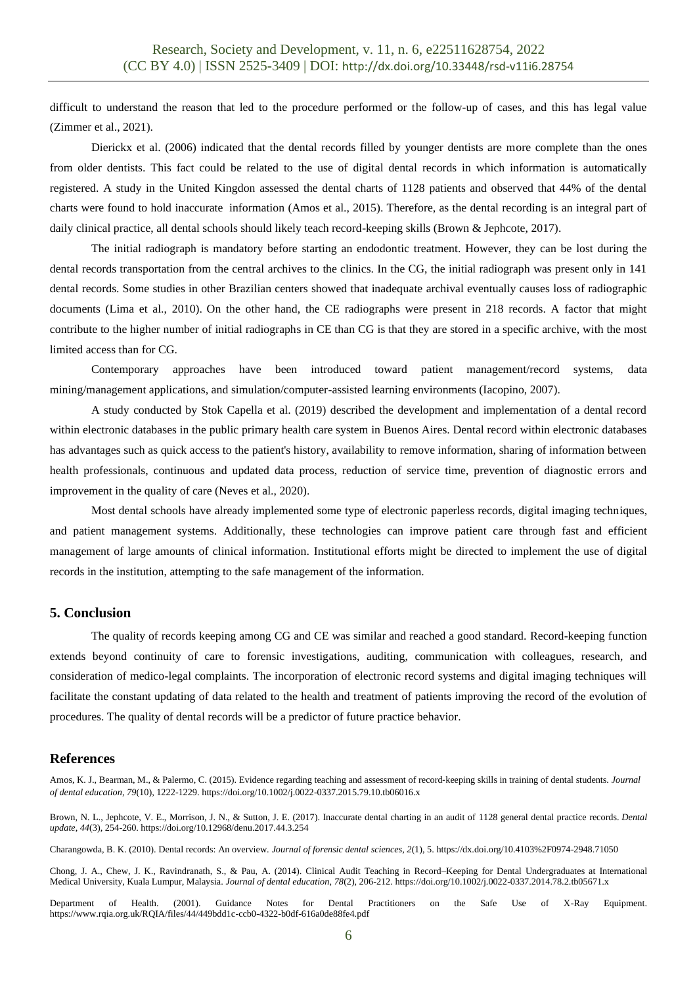difficult to understand the reason that led to the procedure performed or the follow-up of cases, and this has legal value (Zimmer et al., 2021).

Dierickx et al. (2006) indicated that the dental records filled by younger dentists are more complete than the ones from older dentists. This fact could be related to the use of digital dental records in which information is automatically registered. A study in the United Kingdon assessed the dental charts of 1128 patients and observed that 44% of the dental charts were found to hold inaccurate information (Amos et al., 2015). Therefore, as the dental recording is an integral part of daily clinical practice, all dental schools should likely teach record-keeping skills (Brown & Jephcote, 2017).

The initial radiograph is mandatory before starting an endodontic treatment. However, they can be lost during the dental records transportation from the central archives to the clinics. In the CG, the initial radiograph was present only in 141 dental records. Some studies in other Brazilian centers showed that inadequate archival eventually causes loss of radiographic documents (Lima et al., 2010). On the other hand, the CE radiographs were present in 218 records. A factor that might contribute to the higher number of initial radiographs in CE than CG is that they are stored in a specific archive, with the most limited access than for CG.

Contemporary approaches have been introduced toward patient management/record systems, data mining/management applications, and simulation/computer-assisted learning environments (Iacopino, 2007).

A study conducted by Stok Capella et al. (2019) described the development and implementation of a dental record within electronic databases in the public primary health care system in Buenos Aires. Dental record within electronic databases has advantages such as quick access to the patient's history, availability to remove information, sharing of information between health professionals, continuous and updated data process, reduction of service time, prevention of diagnostic errors and improvement in the quality of care (Neves et al., 2020).

Most dental schools have already implemented some type of electronic paperless records, digital imaging techniques, and patient management systems. Additionally, these technologies can improve patient care through fast and efficient management of large amounts of clinical information. Institutional efforts might be directed to implement the use of digital records in the institution, attempting to the safe management of the information.

# **5. Conclusion**

The quality of records keeping among CG and CE was similar and reached a good standard. Record-keeping function extends beyond continuity of care to forensic investigations, auditing, communication with colleagues, research, and consideration of medico-legal complaints. The incorporation of electronic record systems and digital imaging techniques will facilitate the constant updating of data related to the health and treatment of patients improving the record of the evolution of procedures. The quality of dental records will be a predictor of future practice behavior.

#### **References**

Amos, K. J., Bearman, M., & Palermo, C. (2015). Evidence regarding teaching and assessment of record‐keeping skills in training of dental students. *Journal of dental education*, *79*(10), 1222-1229. <https://doi.org/10.1002/j.0022-0337.2015.79.10.tb06016.x>

Brown, N. L., Jephcote, V. E., Morrison, J. N., & Sutton, J. E. (2017). Inaccurate dental charting in an audit of 1128 general dental practice records. *Dental update*, *44*(3), 254-260. <https://doi.org/10.12968/denu.2017.44.3.254>

Charangowda, B. K. (2010). Dental records: An overview. *Journal of forensic dental sciences*, *2*(1), 5. <https://dx.doi.org/10.4103%2F0974-2948.71050>

Chong, J. A., Chew, J. K., Ravindranath, S., & Pau, A. (2014). Clinical Audit Teaching in Record–Keeping for Dental Undergraduates at International Medical University, Kuala Lumpur, Malaysia. *Journal of dental education*, *78*(2), 206-212. <https://doi.org/10.1002/j.0022-0337.2014.78.2.tb05671.x>

Department of Health. (2001). Guidance Notes for Dental Practitioners on the Safe Use of X-Ray Equipment. <https://www.rqia.org.uk/RQIA/files/44/449bdd1c-ccb0-4322-b0df-616a0de88fe4.pdf>